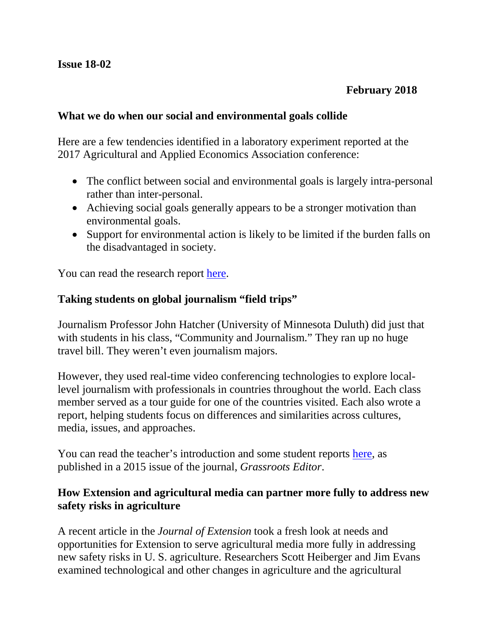#### **What we do when our social and environmental goals collide**

Here are a few tendencies identified in a laboratory experiment reported at the 2017 Agricultural and Applied Economics Association conference:

- The conflict between social and environmental goals is largely intra-personal rather than inter-personal.
- Achieving social goals generally appears to be a stronger motivation than environmental goals.
- Support for environmental action is likely to be limited if the burden falls on the disadvantaged in society.

You can read the research report [here.](http://ageconsearch.umn.edu/record/258548)

# **Taking students on global journalism "field trips"**

Journalism Professor John Hatcher (University of Minnesota Duluth) did just that with students in his class, "Community and Journalism." They ran up no huge travel bill. They weren't even journalism majors.

However, they used real-time video conferencing technologies to explore locallevel journalism with professionals in countries throughout the world. Each class member served as a tour guide for one of the countries visited. Each also wrote a report, helping students focus on differences and similarities across cultures, media, issues, and approaches.

You can read the teacher's introduction and some student reports [here,](http://www.dguth.journalism.ku.edu/GrassrootsEditor.pdf) as published in a 2015 issue of the journal, *Grassroots Editor*.

#### **How Extension and agricultural media can partner more fully to address new safety risks in agriculture**

A recent article in the *Journal of Extension* took a fresh look at needs and opportunities for Extension to serve agricultural media more fully in addressing new safety risks in U. S. agriculture. Researchers Scott Heiberger and Jim Evans examined technological and other changes in agriculture and the agricultural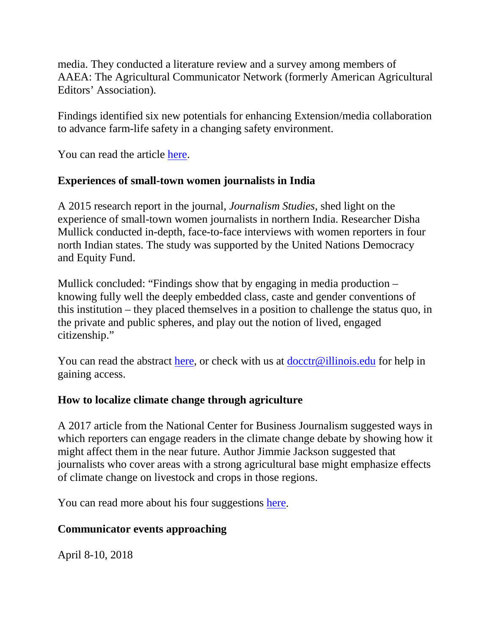media. They conducted a literature review and a survey among members of AAEA: The Agricultural Communicator Network (formerly American Agricultural Editors' Association).

Findings identified six new potentials for enhancing Extension/media collaboration to advance farm-life safety in a changing safety environment.

You can read the article [here.](https://joe.org/joe/2017december/pdf/JOE_v55_6rb3.pdf)

# **Experiences of small-town women journalists in India**

A 2015 research report in the journal, *Journalism Studies*, shed light on the experience of small-town women journalists in northern India. Researcher Disha Mullick conducted in-depth, face-to-face interviews with women reporters in four north Indian states. The study was supported by the United Nations Democracy and Equity Fund.

Mullick concluded: "Findings show that by engaging in media production – knowing fully well the deeply embedded class, caste and gender conventions of this institution – they placed themselves in a position to challenge the status quo, in the private and public spheres, and play out the notion of lived, engaged citizenship."

You can read the abstract [here,](http://www.tandfonline.com/doi/abs/10.1080/1461670X.2015.1054176) or check with us at [docctr@illinois.edu](mailto:docctr@illinois.edu) for help in gaining access.

# **How to localize climate change through agriculture**

A 2017 article from the National Center for Business Journalism suggested ways in which reporters can engage readers in the climate change debate by showing how it might affect them in the near future. Author Jimmie Jackson suggested that journalists who cover areas with a strong agricultural base might emphasize effects of climate change on livestock and crops in those regions.

You can read more about his four suggestions [here.](http://businessjournalism.org/2017/10/localize-climate-change-agriculture/)

# **Communicator events approaching**

April 8-10, 2018